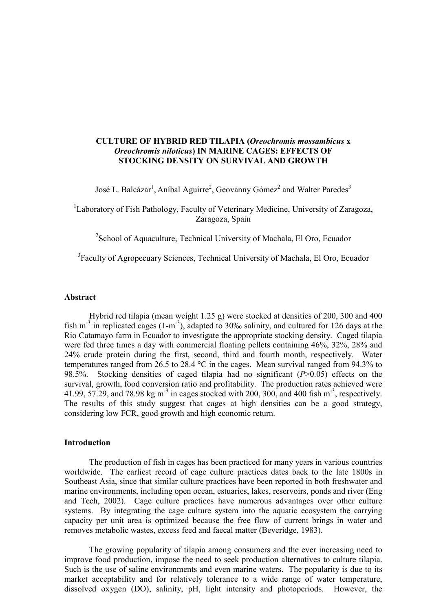## **CULTURE OF HYBRID RED TILAPIA (***Oreochromis mossambicus* **x** *Oreochromis niloticus***) IN MARINE CAGES: EFFECTS OF STOCKING DENSITY ON SURVIVAL AND GROWTH**

José L. Balcázar<sup>1</sup>, Aníbal Aguirre<sup>2</sup>, Geovanny Gómez<sup>2</sup> and Walter Paredes<sup>3</sup>

<sup>1</sup>Laboratory of Fish Pathology, Faculty of Veterinary Medicine, University of Zaragoza, Zaragoza, Spain

<sup>2</sup> School of Aquaculture, Technical University of Machala, El Oro, Ecuador

<sup>3</sup> Faculty of Agropecuary Sciences, Technical University of Machala, El Oro, Ecuador

## **Abstract**

Hybrid red tilapia (mean weight 1.25 g) were stocked at densities of 200, 300 and 400 fish m<sup>-3</sup> in replicated cages  $(1-m^{-3})$ , adapted to 30‰ salinity, and cultured for 126 days at the Rio Catamayo farm in Ecuador to investigate the appropriate stocking density. Caged tilapia were fed three times a day with commercial floating pellets containing 46%, 32%, 28% and 24% crude protein during the first, second, third and fourth month, respectively. Water temperatures ranged from 26.5 to 28.4 °C in the cages. Mean survival ranged from 94.3% to 98.5%. Stocking densities of caged tilapia had no significant (*P*>0.05) effects on the survival, growth, food conversion ratio and profitability. The production rates achieved were 41.99, 57.29, and 78.98 kg m<sup>-3</sup> in cages stocked with 200, 300, and 400 fish m<sup>-3</sup>, respectively. The results of this study suggest that cages at high densities can be a good strategy, considering low FCR, good growth and high economic return.

## **Introduction**

The production of fish in cages has been practiced for many years in various countries worldwide. The earliest record of cage culture practices dates back to the late 1800s in Southeast Asia, since that similar culture practices have been reported in both freshwater and marine environments, including open ocean, estuaries, lakes, reservoirs, ponds and river (Eng and Tech, 2002). Cage culture practices have numerous advantages over other culture systems. By integrating the cage culture system into the aquatic ecosystem the carrying capacity per unit area is optimized because the free flow of current brings in water and removes metabolic wastes, excess feed and faecal matter (Beveridge, 1983).

The growing popularity of tilapia among consumers and the ever increasing need to improve food production, impose the need to seek production alternatives to culture tilapia. Such is the use of saline environments and even marine waters. The popularity is due to its market acceptability and for relatively tolerance to a wide range of water temperature, dissolved oxygen (DO), salinity, pH, light intensity and photoperiods. However, the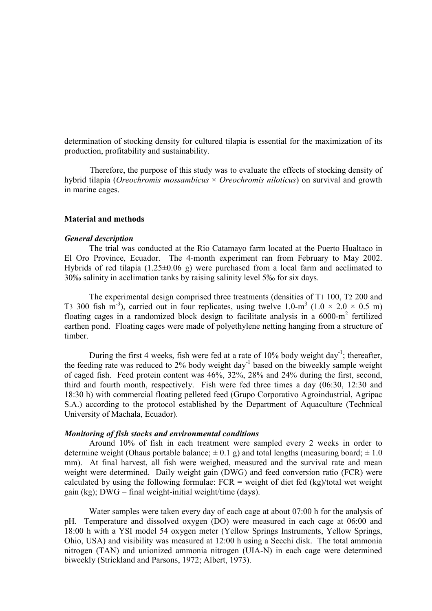determination of stocking density for cultured tilapia is essential for the maximization of its production, profitability and sustainability.

Therefore, the purpose of this study was to evaluate the effects of stocking density of hybrid tilapia (*Oreochromis mossambicus* × *Oreochromis niloticus*) on survival and growth in marine cages.

#### **Material and methods**

### *General description*

The trial was conducted at the Rio Catamayo farm located at the Puerto Hualtaco in El Oro Province, Ecuador. The 4-month experiment ran from February to May 2002. Hybrids of red tilapia (1.25±0.06 g) were purchased from a local farm and acclimated to 30‰ salinity in acclimation tanks by raising salinity level 5‰ for six days.

The experimental design comprised three treatments (densities of T1 100, T2 200 and T3 300 fish m<sup>-3</sup>), carried out in four replicates, using twelve  $1.0 \text{--} m^3$  ( $1.0 \times 2.0 \times 0.5 \text{ m}$ ) floating cages in a randomized block design to facilitate analysis in a 6000-m2 fertilized earthen pond. Floating cages were made of polyethylene netting hanging from a structure of timber.

During the first 4 weeks, fish were fed at a rate of  $10\%$  body weight day<sup>-1</sup>; thereafter, the feeding rate was reduced to 2% body weight day<sup>-1</sup> based on the biweekly sample weight of caged fish. Feed protein content was 46%, 32%, 28% and 24% during the first, second, third and fourth month, respectively. Fish were fed three times a day (06:30, 12:30 and 18:30 h) with commercial floating pelleted feed (Grupo Corporativo Agroindustrial, Agripac S.A.) according to the protocol established by the Department of Aquaculture (Technical University of Machala, Ecuador).

#### *Monitoring of fish stocks and environmental conditions*

Around 10% of fish in each treatment were sampled every 2 weeks in order to determine weight (Ohaus portable balance;  $\pm$  0.1 g) and total lengths (measuring board;  $\pm$  1.0 mm). At final harvest, all fish were weighed, measured and the survival rate and mean weight were determined. Daily weight gain (DWG) and feed conversion ratio (FCR) were calculated by using the following formulae:  $FCR =$  weight of diet fed  $(kg)/\text{total}$  wet weight gain (kg);  $DWG = \text{final weight-inital weight/time (days)}$ .

Water samples were taken every day of each cage at about 07:00 h for the analysis of pH. Temperature and dissolved oxygen (DO) were measured in each cage at 06:00 and 18:00 h with a YSI model 54 oxygen meter (Yellow Springs Instruments, Yellow Springs, Ohio, USA) and visibility was measured at 12:00 h using a Secchi disk. The total ammonia nitrogen (TAN) and unionized ammonia nitrogen (UIA-N) in each cage were determined biweekly (Strickland and Parsons, 1972; Albert, 1973).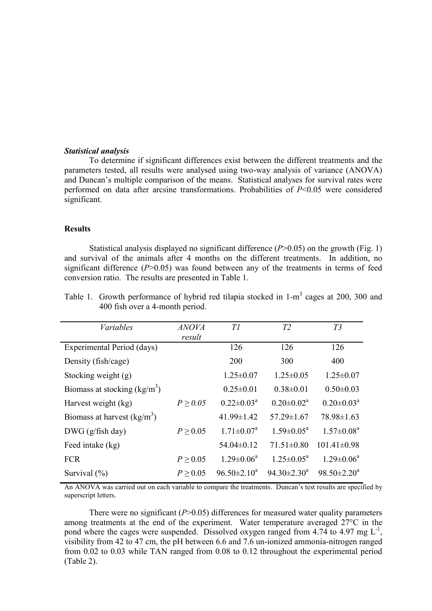### *Statistical analysis*

To determine if significant differences exist between the different treatments and the parameters tested, all results were analysed using two-way analysis of variance (ANOVA) and Duncan's multiple comparison of the means. Statistical analyses for survival rates were performed on data after arcsine transformations. Probabilities of *P*<0.05 were considered significant.

# **Results**

Statistical analysis displayed no significant difference (*P*>0.05) on the growth (Fig. 1) and survival of the animals after 4 months on the different treatments. In addition, no significant difference (*P*>0.05) was found between any of the treatments in terms of feed conversion ratio. The results are presented in Table 1.

| <b>Variables</b>               | <b>ANOVA</b><br>result | T1                         | T2                         | T3                         |
|--------------------------------|------------------------|----------------------------|----------------------------|----------------------------|
| Experimental Period (days)     |                        | 126                        | 126                        | 126                        |
| Density (fish/cage)            |                        | 200                        | 300                        | 400                        |
| Stocking weight (g)            |                        | $1.25 \pm 0.07$            | $1.25 \pm 0.05$            | $1.25 \pm 0.07$            |
| Biomass at stocking $(kg/m^3)$ |                        | $0.25 \pm 0.01$            | $0.38 \pm 0.01$            | $0.50 \pm 0.03$            |
| Harvest weight (kg)            | $P \geq 0.05$          | $0.22 \pm 0.03^{\text{a}}$ | $0.20 \pm 0.02^a$          | $0.20 \pm 0.03^{\text{a}}$ |
| Biomass at harvest $(kg/m^3)$  |                        | $41.99 \pm 1.42$           | $57.29 \pm 1.67$           | $78.98 \pm 1.63$           |
| $DWG$ (g/fish day)             | $P \ge 0.05$           | $1.71 \pm 0.07^{\text{a}}$ | $1.59 \pm 0.05^{\text{a}}$ | $1.57 \pm 0.08^a$          |
| Feed intake (kg)               |                        | $54.04\pm0.12$             | $71.51 \pm 0.80$           | $101.41 \pm 0.98$          |
| <b>FCR</b>                     | $P \ge 0.05$           | $1.29 \pm 0.06^a$          | $1.25 \pm 0.05^{\text{a}}$ | $1.29 \pm 0.06^a$          |
| Survival $(\% )$               | $P \geq 0.05$          | $96.50 \pm 2.10^a$         | $94.30 \pm 2.30^a$         | $98.50 \pm 2.20^a$         |

Table 1. Growth performance of hybrid red tilapia stocked in  $1-m<sup>3</sup>$  cages at 200, 300 and 400 fish over a 4-month period.

An ANOVA was carried out on each variable to compare the treatments. Duncan's test results are specified by superscript letters.

There were no significant (*P*>0.05) differences for measured water quality parameters among treatments at the end of the experiment. Water temperature averaged 27°C in the pond where the cages were suspended. Dissolved oxygen ranged from 4.74 to 4.97 mg  $L^{-1}$ , visibility from 42 to 47 cm, the pH between 6.6 and 7.6 un-ionized ammonia-nitrogen ranged from 0.02 to 0.03 while TAN ranged from 0.08 to 0.12 throughout the experimental period (Table 2).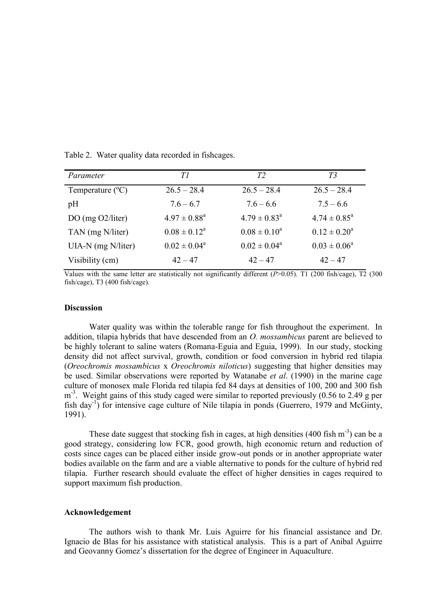| Parameter                 | TΙ                         | T2                         | T3                      |
|---------------------------|----------------------------|----------------------------|-------------------------|
| Temperature $(^{\circ}C)$ | $26.5 - 28.4$              | $26.5 - 28.4$              | $26.5 - 28.4$           |
| pH                        | $7.6 - 6.7$                | $7.6 - 6.6$                | $7.5 - 6.6$             |
| DO (mg $O2/liter$ )       | $4.97 \pm 0.88^{\text{a}}$ | $4.79 \pm 0.83^{\text{a}}$ | $4.74 \pm 0.85^{\circ}$ |
| TAN (mg N/liter)          | $0.08 \pm 0.12^a$          | $0.08 \pm 0.10^a$          | $0.12 \pm 0.20^a$       |
| UIA-N (mg N/liter)        | $0.02 \pm 0.04^a$          | $0.02 \pm 0.04^a$          | $0.03 \pm 0.06^a$       |
| Visibility (cm)           | $42 - 47$                  | $42 - 47$                  | $42 - 47$               |

Table 2. Water quality data recorded in fishcages.

Values with the same letter are statistically not significantly different (*P*>0.05). T1 (200 fish/cage), T2 (300 fish/cage), T3 (400 fish/cage).

### **Discussion**

Water quality was within the tolerable range for fish throughout the experiment. In addition, tilapia hybrids that have descended from an *O. mossambicus* parent are believed to be highly tolerant to saline waters (Romana-Eguia and Eguia, 1999). In our study, stocking density did not affect survival, growth, condition or food conversion in hybrid red tilapia (*Oreochromis mossambicus* x *Oreochromis niloticus*) suggesting that higher densities may be used. Similar observations were reported by Watanabe *et al*. (1990) in the marine cage culture of monosex male Florida red tilapia fed 84 days at densities of 100, 200 and 300 fish  $m<sup>-3</sup>$ . Weight gains of this study caged were similar to reported previously (0.56 to 2.49 g per fish day<sup>-1</sup>) for intensive cage culture of Nile tilapia in ponds (Guerrero, 1979 and McGinty, 1991).

These date suggest that stocking fish in cages, at high densities  $(400 \text{ fish m}^{-3})$  can be a good strategy, considering low FCR, good growth, high economic return and reduction of costs since cages can be placed either inside grow-out ponds or in another appropriate water bodies available on the farm and are a viable alternative to ponds for the culture of hybrid red tilapia. Further research should evaluate the effect of higher densities in cages required to support maximum fish production.

## **Acknowledgement**

The authors wish to thank Mr. Luis Aguirre for his financial assistance and Dr. Ignacio de Blas for his assistance with statistical analysis. This is a part of Anibal Aguirre and Geovanny Gomez's dissertation for the degree of Engineer in Aquaculture.